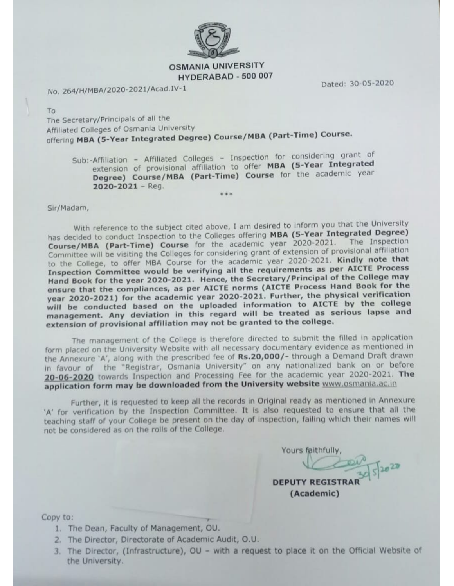

### **OSMANIA UNIVERSITY** HYDERABAD - 500 007

No. 264/H/MBA/2020-2021/Acad.IV-1

Dated: 30-05-2020

To

The Secretary/Principals of all the Affiliated Colleges of Osmania University offering MBA (5-Year Integrated Degree) Course/MBA (Part-Time) Course.

Sub:-Affiliation - Affiliated Colleges - Inspection for considering grant of extension of provisional affiliation to offer MBA (5-Year Integrated Degree) Course/MBA (Part-Time) Course for the academic year  $2020 - 2021 - Req.$ 

Sir/Madam,

With reference to the subject cited above, I am desired to inform you that the University has decided to conduct Inspection to the Colleges offering MBA (5-Year Integrated Degree) Course/MBA (Part-Time) Course for the academic year 2020-2021. The Inspection Committee will be visiting the Colleges for considering grant of extension of provisional affiliation to the College, to offer MBA Course for the academic year 2020-2021. Kindly note that Inspection Committee would be verifying all the requirements as per AICTE Process Hand Book for the year 2020-2021. Hence, the Secretary/Principal of the College may ensure that the compliances, as per AICTE norms (AICTE Process Hand Book for the year 2020-2021) for the academic year 2020-2021. Further, the physical verification will be conducted based on the uploaded information to AICTE by the college management. Any deviation in this regard will be treated as serious lapse and extension of provisional affiliation may not be granted to the college.

The management of the College is therefore directed to submit the filled in application form placed on the University Website with all necessary documentary evidence as mentioned in the Annexure 'A', along with the prescribed fee of Rs.20,000/- through a Demand Draft drawn in favour of the "Registrar, Osmania University" on any nationalized bank on or before 20-06-2020 towards Inspection and Processing Fee for the academic year 2020-2021. The application form may be downloaded from the University website www.osmania.ac.in

Further, it is requested to keep all the records in Original ready as mentioned in Annexure 'A' for verification by the Inspection Committee. It is also requested to ensure that all the teaching staff of your College be present on the day of inspection, failing which their names will not be considered as on the rolls of the College.

Yours faithfully,

**DEPUTY REGISTRA** (Academic)

Copy to:

- 1. The Dean, Faculty of Management, OU.
- 2. The Director, Directorate of Academic Audit, O.U.
- 3. The Director, (Infrastructure), OU with a request to place it on the Official Website of the University.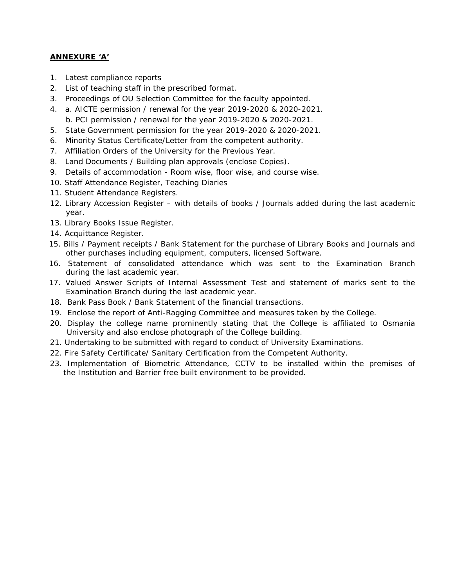### **ANNEXURE 'A'**

- 1. Latest compliance reports
- 2. List of teaching staff in the prescribed format.
- 3. Proceedings of OU Selection Committee for the faculty appointed.
- 4. a. AICTE permission / renewal for the year 2019-2020 & 2020-2021. b. PCI permission / renewal for the year 2019-2020 & 2020-2021.
- 5. State Government permission for the year 2019-2020 & 2020-2021.
- 6. Minority Status Certificate/Letter from the competent authority.
- 7. Affiliation Orders of the University for the Previous Year.
- 8. Land Documents / Building plan approvals (enclose Copies).
- 9. Details of accommodation Room wise, floor wise, and course wise.
- 10. Staff Attendance Register, Teaching Diaries
- 11. Student Attendance Registers.
- 12. Library Accession Register with details of books / Journals added during the last academic year.
- 13. Library Books Issue Register.
- 14. Acquittance Register.
- 15. Bills / Payment receipts / Bank Statement for the purchase of Library Books and Journals and other purchases including equipment, computers, licensed Software.
- 16. Statement of consolidated attendance which was sent to the Examination Branch during the last academic year.
- 17. Valued Answer Scripts of Internal Assessment Test and statement of marks sent to the Examination Branch during the last academic year.
- 18. Bank Pass Book / Bank Statement of the financial transactions.
- 19. Enclose the report of Anti-Ragging Committee and measures taken by the College.
- 20. Display the college name prominently stating that the College is affiliated to Osmania University and also enclose photograph of the College building.
- 21. Undertaking to be submitted with regard to conduct of University Examinations.
- 22. Fire Safety Certificate/ Sanitary Certification from the Competent Authority.
- 23. Implementation of Biometric Attendance, CCTV to be installed within the premises of the Institution and Barrier free built environment to be provided.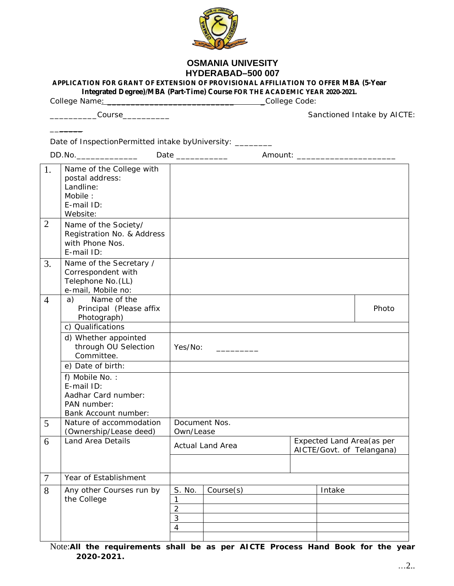

## **OSMANIA UNIVESITY HYDERABAD–500 007**

**APPLICATION FOR GRANT OF EXTENSION OF PROVISIONAL AFFILIATION TO OFFER MBA (5-Year** 

**Integrated Degree)/MBA (Part-Time) Course FOR THE ACADEMIC YEAR 2020-2021.**

College Name: \_\_\_\_\_\_\_\_\_\_\_\_\_\_\_\_\_\_\_\_\_\_\_\_\_\_\_ \_College Code:

 $\overline{\phantom{a}}$  . The set of  $\overline{\phantom{a}}$ 

\_\_\_\_\_\_\_\_\_\_Course\_\_\_\_\_\_\_\_\_\_ Sanctioned Intake by AICTE:

| Date of InspectionPermitted intake byUniversity: _______ |                                                                                               |                                                                                    |                         |  |  |        |       |
|----------------------------------------------------------|-----------------------------------------------------------------------------------------------|------------------------------------------------------------------------------------|-------------------------|--|--|--------|-------|
|                                                          | DD.No._________________                                                                       |                                                                                    | Date _____________      |  |  |        |       |
| 1.                                                       | Name of the College with<br>postal address:<br>Landline:<br>Mobile:<br>E-mail ID:<br>Website: |                                                                                    |                         |  |  |        |       |
| $\overline{2}$                                           | Name of the Society/<br>Registration No. & Address<br>with Phone Nos.<br>E-mail ID:           |                                                                                    |                         |  |  |        |       |
| 3.                                                       | Name of the Secretary /<br>Correspondent with<br>Telephone No. (LL)<br>e-mail, Mobile no:     |                                                                                    |                         |  |  |        |       |
| $\overline{4}$                                           | Name of the<br>a)<br>Principal (Please affix<br>Photograph)                                   |                                                                                    |                         |  |  |        | Photo |
|                                                          | c) Qualifications                                                                             |                                                                                    |                         |  |  |        |       |
|                                                          | d) Whether appointed<br>through OU Selection<br>Committee.                                    | Yes/No:                                                                            | <u> 1999 - Jan Jawa</u> |  |  |        |       |
|                                                          | e) Date of birth:                                                                             |                                                                                    |                         |  |  |        |       |
|                                                          | f) Mobile No.:<br>E-mail ID:<br>Aadhar Card number:<br>PAN number:<br>Bank Account number:    |                                                                                    |                         |  |  |        |       |
| 5                                                        | Nature of accommodation<br>(Ownership/Lease deed)                                             | Own/Lease                                                                          | Document Nos.           |  |  |        |       |
| 6                                                        | Land Area Details                                                                             | Expected Land Area (as per<br><b>Actual Land Area</b><br>AICTE/Govt. of Telangana) |                         |  |  |        |       |
| $\overline{7}$                                           | Year of Establishment                                                                         |                                                                                    |                         |  |  |        |       |
| 8                                                        | Any other Courses run by<br>the College                                                       | S. No.<br>2<br>3<br>$\overline{4}$                                                 | Course(s)               |  |  | Intake |       |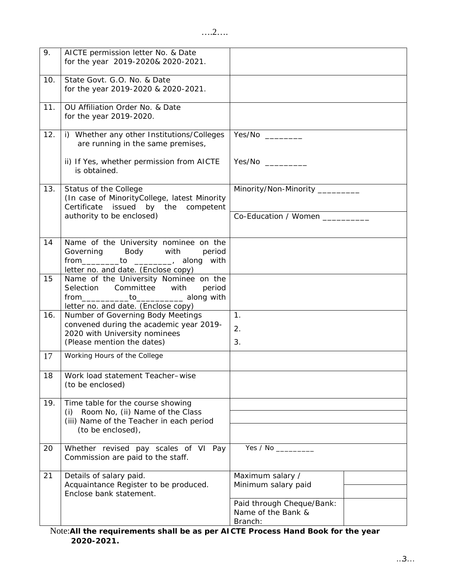| 9.  | AICTE permission letter No. & Date<br>for the year 2019-2020& 2020-2021.                                                                                         |                                                            |
|-----|------------------------------------------------------------------------------------------------------------------------------------------------------------------|------------------------------------------------------------|
| 10. | State Govt. G.O. No. & Date<br>for the year 2019-2020 & 2020-2021.                                                                                               |                                                            |
| 11. | OU Affiliation Order No. & Date<br>for the year 2019-2020.                                                                                                       |                                                            |
| 12. | i) Whether any other Institutions/Colleges<br>are running in the same premises,                                                                                  |                                                            |
|     | ii) If Yes, whether permission from AICTE<br>is obtained.                                                                                                        | Yes/No                                                     |
| 13. | Status of the College<br>(In case of MinorityCollege, latest Minority<br>issued by the competent<br>Certificate                                                  | Minority/Non-Minority _________                            |
|     | authority to be enclosed)                                                                                                                                        | Co-Education / Women _________                             |
| 14  | Name of the University nominee on the<br>Governing<br>Body with<br>period<br>from _________________________, along with<br>letter no. and date. (Enclose copy)   |                                                            |
| 15  | Name of the University Nominee on the<br>Selection Committee with<br>period<br>from_____________to____________ along with<br>letter no. and date. (Enclose copy) |                                                            |
| 16. | Number of Governing Body Meetings<br>convened during the academic year 2019-<br>2020 with University nominees<br>(Please mention the dates)                      | 1.<br>2.<br>3.                                             |
| 17  | Working Hours of the College                                                                                                                                     |                                                            |
| 18  | Work load statement Teacher-wise<br>(to be enclosed)                                                                                                             |                                                            |
| 19. | Time table for the course showing<br>Room No, (ii) Name of the Class<br>(i)                                                                                      |                                                            |
|     | (iii) Name of the Teacher in each period<br>(to be enclosed),                                                                                                    |                                                            |
| 20  | Whether revised pay scales of VI Pay<br>Commission are paid to the staff.                                                                                        |                                                            |
| 21  | Details of salary paid.<br>Acquaintance Register to be produced.<br>Enclose bank statement.                                                                      | Maximum salary /<br>Minimum salary paid                    |
|     |                                                                                                                                                                  | Paid through Cheque/Bank:<br>Name of the Bank &<br>Branch: |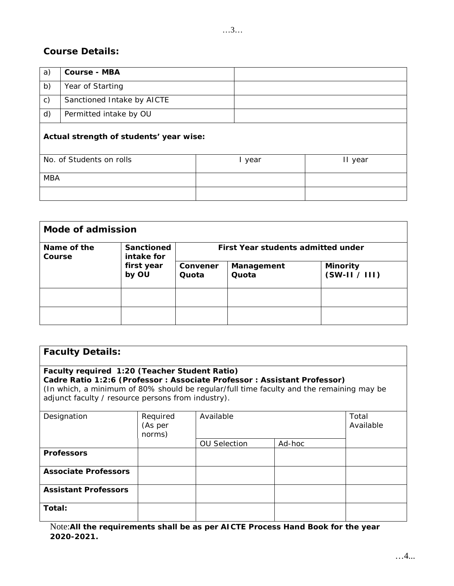# **Course Details:**

| a)                                      | Course - MBA               |  |        |         |
|-----------------------------------------|----------------------------|--|--------|---------|
| b)                                      | Year of Starting           |  |        |         |
| $\mathsf{C}$ )                          | Sanctioned Intake by AICTE |  |        |         |
| d)                                      | Permitted intake by OU     |  |        |         |
| Actual strength of students' year wise: |                            |  |        |         |
|                                         | No. of Students on rolls   |  | I year | II year |
| <b>MBA</b>                              |                            |  |        |         |
|                                         |                            |  |        |         |

| Mode of admission     |                                                 |                                    |                     |                                |  |
|-----------------------|-------------------------------------------------|------------------------------------|---------------------|--------------------------------|--|
| Name of the<br>Course | Sanctioned<br>intake for<br>first year<br>by OU | First Year students admitted under |                     |                                |  |
|                       |                                                 | Convener<br>Quota                  | Management<br>Quota | Minority<br>$(SW-II \mid III)$ |  |
|                       |                                                 |                                    |                     |                                |  |
|                       |                                                 |                                    |                     |                                |  |

| <b>Faculty Details:</b>                                                                                                                                                                                                                                                      |                               |                     |        |                    |  |
|------------------------------------------------------------------------------------------------------------------------------------------------------------------------------------------------------------------------------------------------------------------------------|-------------------------------|---------------------|--------|--------------------|--|
| Faculty required 1:20 (Teacher Student Ratio)<br>Cadre Ratio 1:2:6 (Professor : Associate Professor : Assistant Professor)<br>(In which, a minimum of 80% should be regular/full time faculty and the remaining may be<br>adjunct faculty / resource persons from industry). |                               |                     |        |                    |  |
| Designation                                                                                                                                                                                                                                                                  | Required<br>(As per<br>norms) | Available           |        | Total<br>Available |  |
|                                                                                                                                                                                                                                                                              |                               | <b>OU Selection</b> | Ad-hoc |                    |  |
| Professors                                                                                                                                                                                                                                                                   |                               |                     |        |                    |  |
| Associate Professors                                                                                                                                                                                                                                                         |                               |                     |        |                    |  |
| Assistant Professors                                                                                                                                                                                                                                                         |                               |                     |        |                    |  |
| Total:                                                                                                                                                                                                                                                                       |                               |                     |        |                    |  |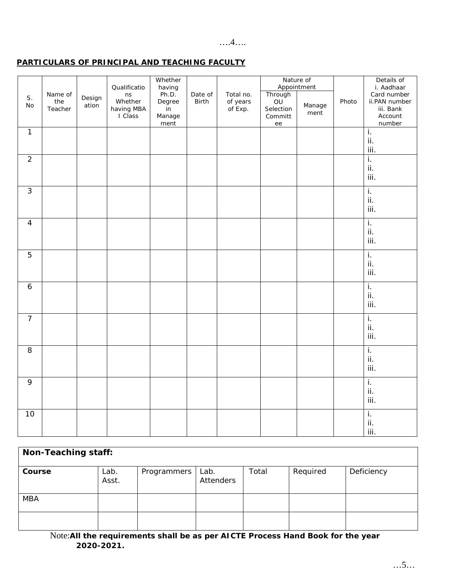#### $\dots$ 4....

## PARTICULARS OF PRINCIPAL AND TEACHING FACULTY

| S.<br>No       | Name of<br>the<br>Teacher | Design<br>ation | Qualificatio<br>ns<br>Whether<br>having MBA<br>I Class | Whether<br>having<br>Ph.D.<br>Degree<br>in<br>Manage<br>ment | Date of<br>Birth | Total no.<br>of years<br>of Exp. | Through<br>OU<br>Selection<br>Committ<br>ee | Nature of<br>Appointment<br>Manage<br>ment | Photo | Details of<br>i. Aadhaar<br>Card number<br>ii.PAN number<br>iii. Bank<br>Account<br>number |
|----------------|---------------------------|-----------------|--------------------------------------------------------|--------------------------------------------------------------|------------------|----------------------------------|---------------------------------------------|--------------------------------------------|-------|--------------------------------------------------------------------------------------------|
| $\mathbf{1}$   |                           |                 |                                                        |                                                              |                  |                                  |                                             |                                            |       | i.<br>ii.<br>iii.                                                                          |
| $\overline{2}$ |                           |                 |                                                        |                                                              |                  |                                  |                                             |                                            |       | $\overline{L}$<br>ii.<br>iii.                                                              |
| $\mathfrak{Z}$ |                           |                 |                                                        |                                                              |                  |                                  |                                             |                                            |       | $\overline{1}$ .<br>ii.<br>iii.                                                            |
| $\overline{4}$ |                           |                 |                                                        |                                                              |                  |                                  |                                             |                                            |       | $\overline{L}$<br>$\mathsf{ii}.$<br>iii.                                                   |
| 5              |                           |                 |                                                        |                                                              |                  |                                  |                                             |                                            |       | i.<br>ii.<br>iii.                                                                          |
| $\overline{6}$ |                           |                 |                                                        |                                                              |                  |                                  |                                             |                                            |       | i.<br>$\mathbf{ii}$ .<br>iii.                                                              |
| $\overline{7}$ |                           |                 |                                                        |                                                              |                  |                                  |                                             |                                            |       | i.<br>ii.<br>iii.                                                                          |
| 8              |                           |                 |                                                        |                                                              |                  |                                  |                                             |                                            |       | ī.<br>ii.<br>iii.                                                                          |
| $\mathsf{q}$   |                           |                 |                                                        |                                                              |                  |                                  |                                             |                                            |       | $\overline{L}$<br>ii.<br>iii.                                                              |
| 10             |                           |                 |                                                        |                                                              |                  |                                  |                                             |                                            |       | i.<br>ii.<br>iii.                                                                          |

| Non-Teaching staff: |               |             |                   |       |          |            |
|---------------------|---------------|-------------|-------------------|-------|----------|------------|
| Course              | Lab.<br>Asst. | Programmers | Lab.<br>Attenders | Total | Required | Deficiency |
| <b>MBA</b>          |               |             |                   |       |          |            |
|                     |               |             |                   |       |          |            |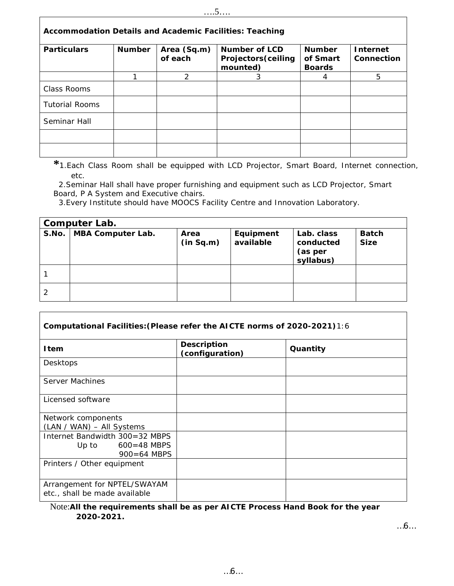| Accommodation Details and Academic Facilities: Teaching |        |                        |                                                  |                                            |                               |
|---------------------------------------------------------|--------|------------------------|--------------------------------------------------|--------------------------------------------|-------------------------------|
| Particulars                                             | Number | Area (Sq.m)<br>of each | Number of LCD<br>Projectors (ceiling<br>mounted) | <b>Number</b><br>of Smart<br><b>Boards</b> | <b>Internet</b><br>Connection |
|                                                         |        | 2                      | 3                                                |                                            | 5                             |
| Class Rooms                                             |        |                        |                                                  |                                            |                               |
| <b>Tutorial Rooms</b>                                   |        |                        |                                                  |                                            |                               |
| Seminar Hall                                            |        |                        |                                                  |                                            |                               |
|                                                         |        |                        |                                                  |                                            |                               |
|                                                         |        |                        |                                                  |                                            |                               |

**\***1.Each Class Room shall be equipped with LCD Projector, Smart Board, Internet connection, etc.

 2.Seminar Hall shall have proper furnishing and equipment such as LCD Projector, Smart Board, P A System and Executive chairs.

3.Every Institute should have MOOCS Facility Centre and Innovation Laboratory.

Г

| Computer Lab. |                   |                   |                        |                                                 |               |
|---------------|-------------------|-------------------|------------------------|-------------------------------------------------|---------------|
| S.No.         | MBA Computer Lab. | Area<br>(in Sq.m) | Equipment<br>available | Lab. class<br>conducted<br>(as per<br>syllabus) | Batch<br>Size |
|               |                   |                   |                        |                                                 |               |
|               |                   |                   |                        |                                                 |               |

| Computational Facilities: (Please refer the AICTE norms of 2020-2021)1:6      |                                |          |  |  |
|-------------------------------------------------------------------------------|--------------------------------|----------|--|--|
| I tem                                                                         | Description<br>(configuration) | Quantity |  |  |
| Desktops                                                                      |                                |          |  |  |
| Server Machines                                                               |                                |          |  |  |
| Licensed software                                                             |                                |          |  |  |
| Network components<br>(LAN / WAN) - All Systems                               |                                |          |  |  |
| Internet Bandwidth 300=32 MBPS<br>$600 = 48$ MBPS<br>Up to<br>$900 = 64$ MBPS |                                |          |  |  |
| Printers / Other equipment                                                    |                                |          |  |  |
| Arrangement for NPTEL/SWAYAM<br>etc., shall be made available                 |                                |          |  |  |

Note:**All the requirements shall be as per AICTE Process Hand Book for the year 2020-2021.** 

…6…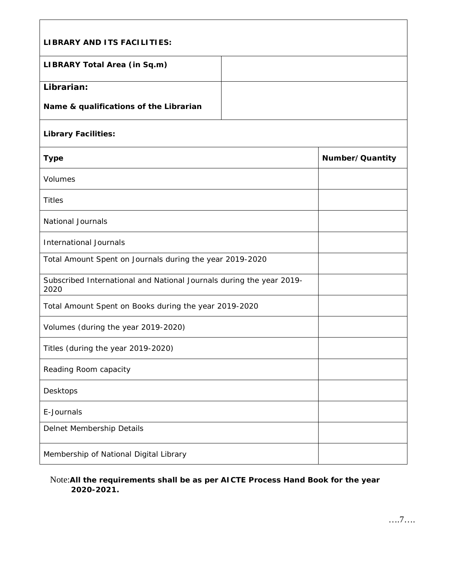| LIBRARY AND ITS FACILITIES:                                                  |                 |  |  |  |
|------------------------------------------------------------------------------|-----------------|--|--|--|
|                                                                              |                 |  |  |  |
| LIBRARY Total Area (in Sq.m)                                                 |                 |  |  |  |
| Librarian:                                                                   |                 |  |  |  |
| Name & qualifications of the Librarian                                       |                 |  |  |  |
| Library Facilities:                                                          |                 |  |  |  |
| Type                                                                         | Number/Quantity |  |  |  |
| Volumes                                                                      |                 |  |  |  |
| <b>Titles</b>                                                                |                 |  |  |  |
| <b>National Journals</b>                                                     |                 |  |  |  |
| International Journals                                                       |                 |  |  |  |
| Total Amount Spent on Journals during the year 2019-2020                     |                 |  |  |  |
| Subscribed International and National Journals during the year 2019-<br>2020 |                 |  |  |  |
| Total Amount Spent on Books during the year 2019-2020                        |                 |  |  |  |
| Volumes (during the year 2019-2020)                                          |                 |  |  |  |
| Titles (during the year 2019-2020)                                           |                 |  |  |  |
| Reading Room capacity                                                        |                 |  |  |  |
| Desktops                                                                     |                 |  |  |  |
| E-Journals                                                                   |                 |  |  |  |
| Delnet Membership Details                                                    |                 |  |  |  |
| Membership of National Digital Library                                       |                 |  |  |  |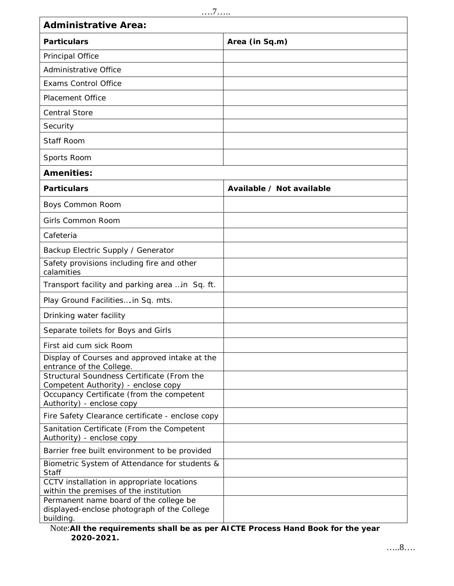| . 7                                                                                                                     |                           |  |  |  |
|-------------------------------------------------------------------------------------------------------------------------|---------------------------|--|--|--|
| Administrative Area:                                                                                                    |                           |  |  |  |
| Particulars                                                                                                             | Area (in Sq.m)            |  |  |  |
| Principal Office                                                                                                        |                           |  |  |  |
| Administrative Office                                                                                                   |                           |  |  |  |
| <b>Exams Control Office</b>                                                                                             |                           |  |  |  |
| <b>Placement Office</b>                                                                                                 |                           |  |  |  |
| <b>Central Store</b>                                                                                                    |                           |  |  |  |
| Security                                                                                                                |                           |  |  |  |
| Staff Room                                                                                                              |                           |  |  |  |
| Sports Room                                                                                                             |                           |  |  |  |
| Amenities:                                                                                                              |                           |  |  |  |
| Particulars                                                                                                             | Available / Not available |  |  |  |
| Boys Common Room                                                                                                        |                           |  |  |  |
| Girls Common Room                                                                                                       |                           |  |  |  |
| Cafeteria                                                                                                               |                           |  |  |  |
| Backup Electric Supply / Generator                                                                                      |                           |  |  |  |
| Safety provisions including fire and other<br>calamities                                                                |                           |  |  |  |
| Transport facility and parking area  in Sq. ft.                                                                         |                           |  |  |  |
| Play Ground Facilities in Sq. mts.                                                                                      |                           |  |  |  |
| Drinking water facility                                                                                                 |                           |  |  |  |
| Separate toilets for Boys and Girls                                                                                     |                           |  |  |  |
| First aid cum sick Room                                                                                                 |                           |  |  |  |
| Display of Courses and approved intake at the<br>entrance of the College.<br>Structural Soundness Certificate (From the |                           |  |  |  |
| Competent Authority) - enclose copy                                                                                     |                           |  |  |  |
| Occupancy Certificate (from the competent<br>Authority) - enclose copy                                                  |                           |  |  |  |
| Fire Safety Clearance certificate - enclose copy                                                                        |                           |  |  |  |
| Sanitation Certificate (From the Competent<br>Authority) - enclose copy                                                 |                           |  |  |  |
| Barrier free built environment to be provided                                                                           |                           |  |  |  |
| Biometric System of Attendance for students &<br><b>Staff</b>                                                           |                           |  |  |  |
| CCTV installation in appropriate locations<br>within the premises of the institution                                    |                           |  |  |  |
| Permanent name board of the college be<br>displayed-enclose photograph of the College<br>building.                      |                           |  |  |  |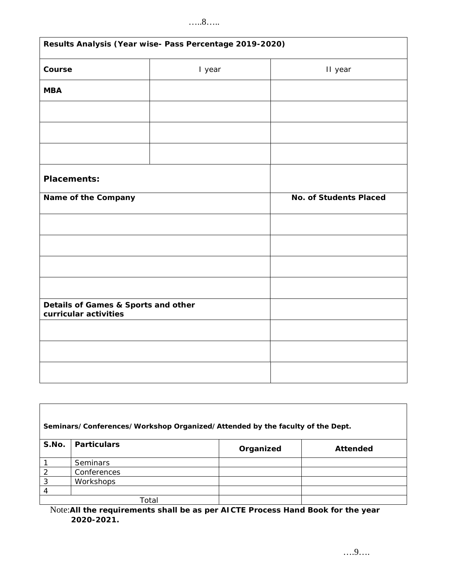## …..8…..

| Results Analysis (Year wise- Pass Percentage 2019-2020)      |        |                        |  |  |
|--------------------------------------------------------------|--------|------------------------|--|--|
| Course                                                       | I year | II year                |  |  |
| <b>MBA</b>                                                   |        |                        |  |  |
|                                                              |        |                        |  |  |
|                                                              |        |                        |  |  |
|                                                              |        |                        |  |  |
| Placements:                                                  |        |                        |  |  |
| Name of the Company                                          |        | No. of Students Placed |  |  |
|                                                              |        |                        |  |  |
|                                                              |        |                        |  |  |
|                                                              |        |                        |  |  |
|                                                              |        |                        |  |  |
| Details of Games & Sports and other<br>curricular activities |        |                        |  |  |
|                                                              |        |                        |  |  |
|                                                              |        |                        |  |  |
|                                                              |        |                        |  |  |

| Seminars/Conferences/Workshop Organized/Attended by the faculty of the Dept. |                 |           |          |  |
|------------------------------------------------------------------------------|-----------------|-----------|----------|--|
| S.No.                                                                        | Particulars     | Organized | Attended |  |
|                                                                              | <b>Seminars</b> |           |          |  |
| $\mathcal{P}$                                                                | Conferences     |           |          |  |
| 3                                                                            | Workshops       |           |          |  |
|                                                                              |                 |           |          |  |
|                                                                              | Total           |           |          |  |